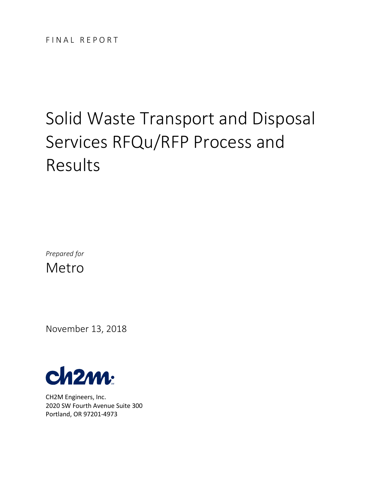# Solid Waste Transport and Disposal Services RFQu/RFP Process and Results

*Prepared for* Metro

November 13, 2018



CH2M Engineers, Inc. 2020 SW Fourth Avenue Suite 300 Portland, OR 97201-4973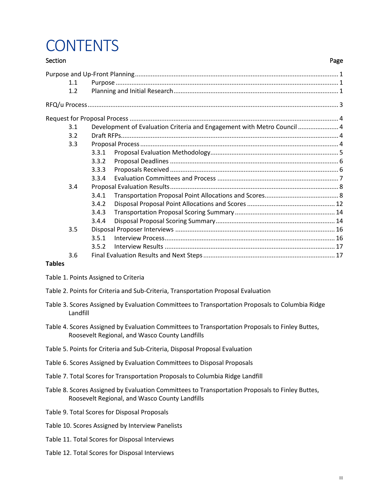# **CONTENTS**

### Section **Page** [Purpose and Up-Front Planning....................................................................................................................](#page-4-0) 1 1.1 Purpose [...............................................................................................................................](#page-4-1) 1 1.2 [Planning and Initial Research..............................................................................................](#page-4-2) 1 [RFQ/u Process...............................................................................................................................................](#page-6-0) 3 Request for Proposal Process [.......................................................................................................................](#page-7-0) 4 3.1 [Development of Evaluation Criteria and Engagement with Metro Council](#page-7-1) ....................... 4 3.2 [Draft RFPs............................................................................................................................](#page-7-2) 4 3.3 [Proposal Process.................................................................................................................](#page-7-3) 4 3.3.1 [Proposal Evaluation Methodology.........................................................................](#page-8-0) 5 3.3.2 Proposal Deadlines [................................................................................................](#page-9-0) 6 3.3.3 Proposals Received [................................................................................................](#page-9-1) 6 3.3.4 Evaluation Committees and Process [.....................................................................](#page-10-0) 7 3.4 [Proposal Evaluation Results................................................................................................](#page-11-0) 8 3.4.1 [Transportation Proposal Point Allocations and Scores..........................................](#page-11-1) 8 [3.4.2 Disposal Proposal Point Allocations and Scores..................................................](#page-15-0) 12 3.4.3 [Transportation Proposal Scoring Summary](#page-17-0) ......................................................... 14 3.4.4 [Disposal Proposal Scoring Summary....................................................................](#page-17-1) 14 3.5 Disposal Proposer Interviews [...........................................................................................](#page-19-0) 16 3.5.1 [Interview Process.................................................................................................](#page-19-1) 16 3.5.2 Interview Results [.................................................................................................](#page-20-0) 17 3.6 [Final Evaluation Results and Next Steps...........................................................................](#page-20-1) 17

#### **Tables**

- [Table 1. Points Assigned to Criteria](#page-7-4)
- [Table 2. Points for Criteria and Sub-Criteria, Transportation Proposal Evaluation](#page-12-0)
- [Table 3. Scores Assigned by Evaluation Committees to Transportation Proposals to Columbia Ridge](#page-13-0)  [Landfill](#page-13-0)
- [Table 4. Scores Assigned by Evaluation Committees to Transportation Proposals to Finley Buttes,](#page-14-0)  [Roosevelt Regional, and Wasco County Landfills](#page-14-0)
- [Table 5. Points for Criteria and Sub-Criteria, Disposal Proposal Evaluation](#page-15-1)
- [Table 6. Scores Assigned by Evaluation Committees to Disposal Proposals](#page-16-0)
- [Table 7. Total Scores for Transportation Proposals to Columbia Ridge Landfill](#page-18-0)
- [Table 8. Scores Assigned by Evaluation Committees to Transportation Proposals to Finley Buttes,](#page-18-1)  [Roosevelt Regional, and Wasco County Landfills](#page-18-1)
- [Table 9. Total Scores for Disposal Proposals](#page-18-2)
- [Table 10. Scores Assigned by Interview Panelists](#page-21-0)
- [Table 11. Total Scores for Disposal Interviews](#page-21-1)
- [Table 12. Total Scores for Disposal Interviews](#page-21-2)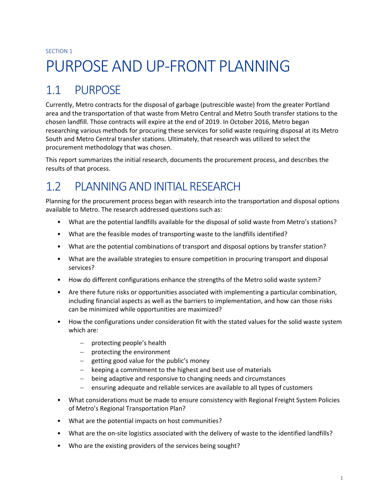#### SECTION 1

# <span id="page-4-0"></span>PURPOSE AND UP-FRONT PLANNING

## <span id="page-4-1"></span>1.1 PURPOSE

Currently, Metro contracts for the disposal of garbage (putrescible waste) from the greater Portland area and the transportation of that waste from Metro Central and Metro South transfer stations to the chosen landfill. Those contracts will expire at the end of 2019. In October 2016, Metro began researching various methods for procuring these services for solid waste requiring disposal at its Metro South and Metro Central transfer stations. Ultimately, that research was utilized to select the procurement methodology that was chosen.

This report summarizes the initial research, documents the procurement process, and describes the results of that process.

# <span id="page-4-2"></span>1.2 PLANNING AND INITIAL RESEARCH

Planning for the procurement process began with research into the transportation and disposal options available to Metro. The research addressed questions such as:

- What are the potential landfills available for the disposal of solid waste from Metro's stations?
- What are the feasible modes of transporting waste to the landfills identified?
- What are the potential combinations of transport and disposal options by transfer station?
- What are the available strategies to ensure competition in procuring transport and disposal services?
- How do different configurations enhance the strengths of the Metro solid waste system?
- Are there future risks or opportunities associated with implementing a particular combination, including financial aspects as well as the barriers to implementation, and how can those risks can be minimized while opportunities are maximized?
- How the configurations under consideration fit with the stated values for the solid waste system which are:
	- protecting people's health
	- protecting the environment
	- $-$  getting good value for the public's money
	- $-$  keeping a commitment to the highest and best use of materials
	- being adaptive and responsive to changing needs and circumstances
	- ensuring adequate and reliable services are available to all types of customers
- What considerations must be made to ensure consistency with Regional Freight System Policies of Metro's Regional Transportation Plan?
- What are the potential impacts on host communities?
- What are the on-site logistics associated with the delivery of waste to the identified landfills?
- Who are the existing providers of the services being sought?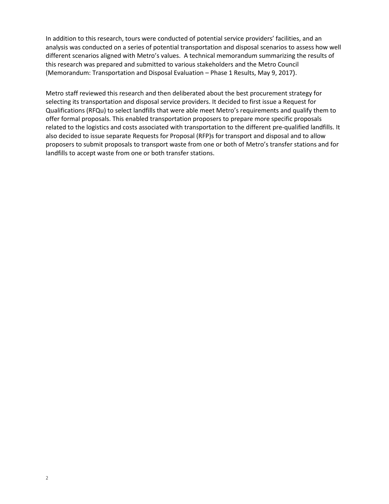In addition to this research, tours were conducted of potential service providers' facilities, and an analysis was conducted on a series of potential transportation and disposal scenarios to assess how well different scenarios aligned with Metro's values. A technical memorandum summarizing the results of this research was prepared and submitted to various stakeholders and the Metro Council (Memorandum: Transportation and Disposal Evaluation – Phase 1 Results, May 9, 2017).

Metro staff reviewed this research and then deliberated about the best procurement strategy for selecting its transportation and disposal service providers. It decided to first issue a Request for Qualifications (RFQu) to select landfills that were able meet Metro's requirements and qualify them to offer formal proposals. This enabled transportation proposers to prepare more specific proposals related to the logistics and costs associated with transportation to the different pre-qualified landfills. It also decided to issue separate Requests for Proposal (RFP)s for transport and disposal and to allow proposers to submit proposals to transport waste from one or both of Metro's transfer stations and for landfills to accept waste from one or both transfer stations.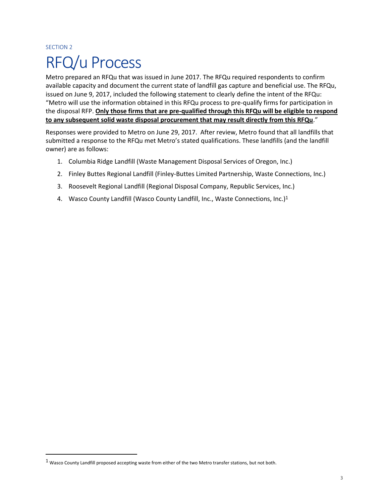# <span id="page-6-0"></span>SECTION 2 RFQ/u Process

Metro prepared an RFQu that was issued in June 2017. The RFQu required respondents to confirm available capacity and document the current state of landfill gas capture and beneficial use. The RFQu, issued on June 9, 2017, included the following statement to clearly define the intent of the RFQu: "Metro will use the information obtained in this RFQu process to pre-qualify firms for participation in the disposal RFP. **Only those firms that are pre-qualified through this RFQu will be eligible to respond to any subsequent solid waste disposal procurement that may result directly from this RFQu**."

Responses were provided to Metro on June 29, 2017. After review, Metro found that all landfills that submitted a response to the RFQu met Metro's stated qualifications. These landfills (and the landfill owner) are as follows:

- 1. Columbia Ridge Landfill (Waste Management Disposal Services of Oregon, Inc.)
- 2. Finley Buttes Regional Landfill (Finley-Buttes Limited Partnership, Waste Connections, Inc.)
- 3. Roosevelt Regional Landfill (Regional Disposal Company, Republic Services, Inc.)
- 4. Wasco County Landfill (Wasco County Landfill, Inc., Waste Connections, Inc.)<sup>1</sup>

l

<sup>1</sup> Wasco County Landfill proposed accepting waste from either of the two Metro transfer stations, but not both.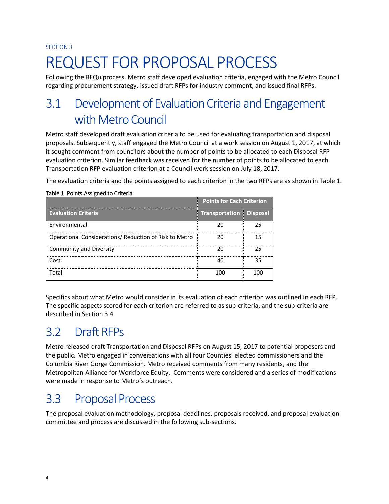#### SECTION 3

# <span id="page-7-0"></span>REQUEST FOR PROPOSAL PROCESS

Following the RFQu process, Metro staff developed evaluation criteria, engaged with the Metro Council regarding procurement strategy, issued draft RFPs for industry comment, and issued final RFPs.

# <span id="page-7-1"></span>3.1 Development of Evaluation Criteria and Engagement with Metro Council

Metro staff developed draft evaluation criteria to be used for evaluating transportation and disposal proposals. Subsequently, staff engaged the Metro Council at a work session on August 1, 2017, at which it sought comment from councilors about the number of points to be allocated to each Disposal RFP evaluation criterion. Similar feedback was received for the number of points to be allocated to each Transportation RFP evaluation criterion at a Council work session on July 18, 2017.

The evaluation criteria and the points assigned to each criterion in the two RFPs are as shown in Table 1.

|                                                        | <b>Points for Each Criterion</b> |  |
|--------------------------------------------------------|----------------------------------|--|
| <b>Evaluation Criteria</b>                             | <b>Transportation Disposal</b>   |  |
| Environmental                                          |                                  |  |
| Operational Considerations/ Reduction of Risk to Metro |                                  |  |
| Community and Diversity                                |                                  |  |
| Cost                                                   |                                  |  |
| Total                                                  |                                  |  |

### <span id="page-7-4"></span>Table 1. Points Assigned to Criteria

Specifics about what Metro would consider in its evaluation of each criterion was outlined in each RFP. The specific aspects scored for each criterion are referred to as sub-criteria, and the sub-criteria are described in Section 3.4.

# <span id="page-7-2"></span>3.2 Draft RFPs

Metro released draft Transportation and Disposal RFPs on August 15, 2017 to potential proposers and the public. Metro engaged in conversations with all four Counties' elected commissioners and the Columbia River Gorge Commission. Metro received comments from many residents, and the Metropolitan Alliance for Workforce Equity. Comments were considered and a series of modifications were made in response to Metro's outreach.

# <span id="page-7-3"></span>3.3 Proposal Process

The proposal evaluation methodology, proposal deadlines, proposals received, and proposal evaluation committee and process are discussed in the following sub-sections.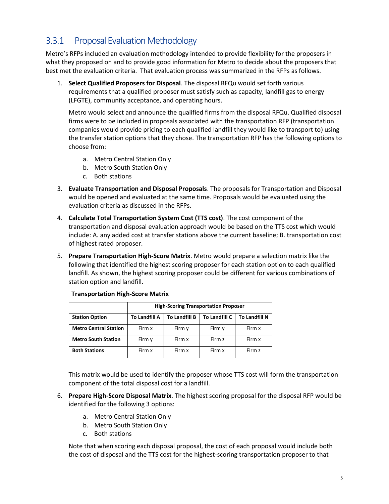### <span id="page-8-0"></span>3.3.1 Proposal Evaluation Methodology

Metro's RFPs included an evaluation methodology intended to provide flexibility for the proposers in what they proposed on and to provide good information for Metro to decide about the proposers that best met the evaluation criteria. That evaluation process was summarized in the RFPs as follows.

1. **Select Qualified Proposers for Disposal**. The disposal RFQu would set forth various requirements that a qualified proposer must satisfy such as capacity, landfill gas to energy (LFGTE), community acceptance, and operating hours.

Metro would select and announce the qualified firms from the disposal RFQu. Qualified disposal firms were to be included in proposals associated with the transportation RFP (transportation companies would provide pricing to each qualified landfill they would like to transport to) using the transfer station options that they chose. The transportation RFP has the following options to choose from:

- a. Metro Central Station Only
- b. Metro South Station Only
- c. Both stations
- 3. **Evaluate Transportation and Disposal Proposals**. The proposals for Transportation and Disposal would be opened and evaluated at the same time. Proposals would be evaluated using the evaluation criteria as discussed in the RFPs.
- 4. **Calculate Total Transportation System Cost (TTS cost)**. The cost component of the transportation and disposal evaluation approach would be based on the TTS cost which would include: A. any added cost at transfer stations above the current baseline; B. transportation cost of highest rated proposer.
- 5. **Prepare Transportation High-Score Matrix**. Metro would prepare a selection matrix like the following that identified the highest scoring proposer for each station option to each qualified landfill. As shown, the highest scoring proposer could be different for various combinations of station option and landfill.

|                              |                      | <b>High-Scoring Transportation Proposer</b> |               |                      |  |  |  |  |  |  |  |  |  |
|------------------------------|----------------------|---------------------------------------------|---------------|----------------------|--|--|--|--|--|--|--|--|--|
| <b>Station Option</b>        | <b>To Landfill A</b> | <b>To Landfill B</b>                        | To Landfill C | <b>To Landfill N</b> |  |  |  |  |  |  |  |  |  |
| <b>Metro Central Station</b> | Firm x               | Firm y                                      | Firm y        | Firm x               |  |  |  |  |  |  |  |  |  |
| <b>Metro South Station</b>   | Firm y               | Firm x                                      | Firm z        | Firm x               |  |  |  |  |  |  |  |  |  |
| <b>Both Stations</b>         | Firm x               | Firm x                                      | Firm x        | Firm z               |  |  |  |  |  |  |  |  |  |

**Transportation High-Score Matrix**

This matrix would be used to identify the proposer whose TTS cost will form the transportation component of the total disposal cost for a landfill.

- 6. **Prepare High-Score Disposal Matrix**. The highest scoring proposal for the disposal RFP would be identified for the following 3 options:
	- a. Metro Central Station Only
	- b. Metro South Station Only
	- c. Both stations

Note that when scoring each disposal proposal, the cost of each proposal would include both the cost of disposal and the TTS cost for the highest-scoring transportation proposer to that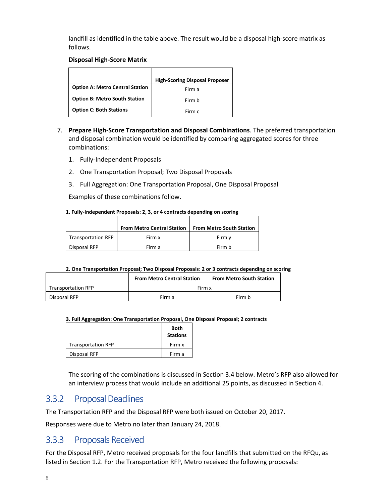landfill as identified in the table above. The result would be a disposal high-score matrix as follows.

### **Disposal High-Score Matrix**

|                                        | <b>High-Scoring Disposal Proposer</b> |
|----------------------------------------|---------------------------------------|
| <b>Option A: Metro Central Station</b> | Firm a                                |
| <b>Option B: Metro South Station</b>   | Firm b                                |
| <b>Option C: Both Stations</b>         | Firm c                                |

- 7. **Prepare High-Score Transportation and Disposal Combinations**. The preferred transportation and disposal combination would be identified by comparing aggregated scores for three combinations:
	- 1. Fully-Independent Proposals
	- 2. One Transportation Proposal; Two Disposal Proposals
	- 3. Full Aggregation: One Transportation Proposal, One Disposal Proposal

Examples of these combinations follow.

#### **1. Fully-Independent Proposals: 2, 3, or 4 contracts depending on scoring**

|                           | <b>From Metro Central Station</b> | <b>From Metro South Station</b> |
|---------------------------|-----------------------------------|---------------------------------|
| <b>Transportation RFP</b> | Firm x                            | Firm v                          |
| Disposal RFP              | Firm a                            | Firm b                          |

#### **2. One Transportation Proposal; Two Disposal Proposals: 2 or 3 contracts depending on scoring**

|                           | <b>From Metro Central Station</b> | <b>From Metro South Station</b> |
|---------------------------|-----------------------------------|---------------------------------|
| <b>Transportation RFP</b> | Firm x                            |                                 |
| Disposal RFP              | Firm a                            | Firm b                          |

#### **3. Full Aggregation: One Transportation Proposal, One Disposal Proposal; 2 contracts**

|                           | Both<br><b>Stations</b> |
|---------------------------|-------------------------|
| <b>Transportation RFP</b> | Firm x                  |
| Disposal RFP              | Firm a                  |

The scoring of the combinations is discussed in Section 3.4 below. Metro's RFP also allowed for an interview process that would include an additional 25 points, as discussed in Section 4.

### <span id="page-9-0"></span>3.3.2 Proposal Deadlines

The Transportation RFP and the Disposal RFP were both issued on October 20, 2017.

Responses were due to Metro no later than January 24, 2018.

### <span id="page-9-1"></span>3.3.3 Proposals Received

For the Disposal RFP, Metro received proposals for the four landfills that submitted on the RFQu, as listed in Section 1.2. For the Transportation RFP, Metro received the following proposals: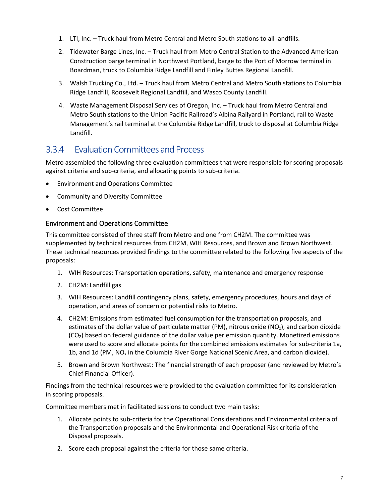- 1. LTI, Inc. Truck haul from Metro Central and Metro South stations to all landfills.
- 2. Tidewater Barge Lines, Inc. Truck haul from Metro Central Station to the Advanced American Construction barge terminal in Northwest Portland, barge to the Port of Morrow terminal in Boardman, truck to Columbia Ridge Landfill and Finley Buttes Regional Landfill.
- 3. Walsh Trucking Co., Ltd. Truck haul from Metro Central and Metro South stations to Columbia Ridge Landfill, Roosevelt Regional Landfill, and Wasco County Landfill.
- 4. Waste Management Disposal Services of Oregon, Inc. Truck haul from Metro Central and Metro South stations to the Union Pacific Railroad's Albina Railyard in Portland, rail to Waste Management's rail terminal at the Columbia Ridge Landfill, truck to disposal at Columbia Ridge Landfill.

### <span id="page-10-0"></span>3.3.4 Evaluation Committees andProcess

Metro assembled the following three evaluation committees that were responsible for scoring proposals against criteria and sub-criteria, and allocating points to sub-criteria.

- Environment and Operations Committee
- Community and Diversity Committee
- Cost Committee

### Environment and Operations Committee

This committee consisted of three staff from Metro and one from CH2M. The committee was supplemented by technical resources from CH2M, WIH Resources, and Brown and Brown Northwest. These technical resources provided findings to the committee related to the following five aspects of the proposals:

- 1. WIH Resources: Transportation operations, safety, maintenance and emergency response
- 2. CH2M: Landfill gas
- 3. WIH Resources: Landfill contingency plans, safety, emergency procedures, hours and days of operation, and areas of concern or potential risks to Metro.
- 4. CH2M: Emissions from estimated fuel consumption for the transportation proposals, and estimates of the dollar value of particulate matter (PM), nitrous oxide ( $NO<sub>x</sub>$ ), and carbon dioxide  $(CO<sub>2</sub>)$  based on federal guidance of the dollar value per emission quantity. Monetized emissions were used to score and allocate points for the combined emissions estimates for sub-criteria 1a, 1b, and 1d (PM, NO<sub>x</sub> in the Columbia River Gorge National Scenic Area, and carbon dioxide).
- 5. Brown and Brown Northwest: The financial strength of each proposer (and reviewed by Metro's Chief Financial Officer).

Findings from the technical resources were provided to the evaluation committee for its consideration in scoring proposals.

Committee members met in facilitated sessions to conduct two main tasks:

- 1. Allocate points to sub-criteria for the Operational Considerations and Environmental criteria of the Transportation proposals and the Environmental and Operational Risk criteria of the Disposal proposals.
- 2. Score each proposal against the criteria for those same criteria.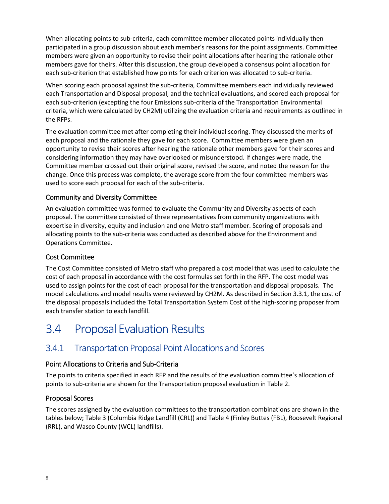When allocating points to sub-criteria, each committee member allocated points individually then participated in a group discussion about each member's reasons for the point assignments. Committee members were given an opportunity to revise their point allocations after hearing the rationale other members gave for theirs. After this discussion, the group developed a consensus point allocation for each sub-criterion that established how points for each criterion was allocated to sub-criteria.

When scoring each proposal against the sub-criteria, Committee members each individually reviewed each Transportation and Disposal proposal, and the technical evaluations, and scored each proposal for each sub-criterion (excepting the four Emissions sub-criteria of the Transportation Environmental criteria, which were calculated by CH2M) utilizing the evaluation criteria and requirements as outlined in the RFPs.

The evaluation committee met after completing their individual scoring. They discussed the merits of each proposal and the rationale they gave for each score. Committee members were given an opportunity to revise their scores after hearing the rationale other members gave for their scores and considering information they may have overlooked or misunderstood. If changes were made, the Committee member crossed out their original score, revised the score, and noted the reason for the change. Once this process was complete, the average score from the four committee members was used to score each proposal for each of the sub-criteria.

### Community and Diversity Committee

An evaluation committee was formed to evaluate the Community and Diversity aspects of each proposal. The committee consisted of three representatives from community organizations with expertise in diversity, equity and inclusion and one Metro staff member. Scoring of proposals and allocating points to the sub-criteria was conducted as described above for the Environment and Operations Committee.

### Cost Committee

The Cost Committee consisted of Metro staff who prepared a cost model that was used to calculate the cost of each proposal in accordance with the cost formulas set forth in the RFP. The cost model was used to assign points for the cost of each proposal for the transportation and disposal proposals. The model calculations and model results were reviewed by CH2M. As described in Section 3.3.1, the cost of the disposal proposals included the Total Transportation System Cost of the high-scoring proposer from each transfer station to each landfill.

## <span id="page-11-0"></span>3.4 Proposal Evaluation Results

### <span id="page-11-1"></span>3.4.1 Transportation Proposal Point Allocations and Scores

### Point Allocations to Criteria and Sub-Criteria

The points to criteria specified in each RFP and the results of the evaluation committee's allocation of points to sub-criteria are shown for the Transportation proposal evaluation in Table 2.

### Proposal Scores

The scores assigned by the evaluation committees to the transportation combinations are shown in the tables below; Table 3 (Columbia Ridge Landfill (CRL)) and Table 4 (Finley Buttes (FBL), Roosevelt Regional (RRL), and Wasco County (WCL) landfills).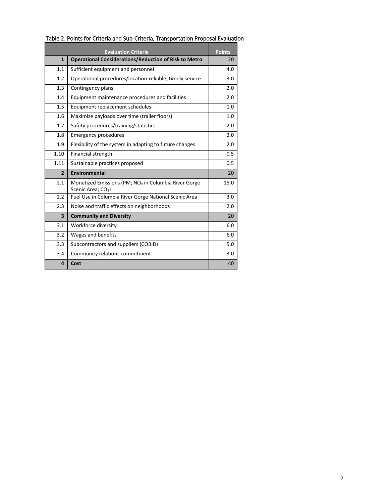|                         | <b>Evaluation Criteria</b>                                                                         | <b>Points</b> |
|-------------------------|----------------------------------------------------------------------------------------------------|---------------|
| $\mathbf{1}$            | <b>Operational Considerations/Reduction of Risk to Metro</b>                                       | 20            |
| 1.1                     | Sufficient equipment and personnel                                                                 | 4.0           |
| 1.2                     | Operational procedures/location-reliable, timely service                                           | 3.0           |
| 1.3                     | Contingency plans                                                                                  | 2.0           |
| 1.4                     | Equipment maintenance procedures and facilities                                                    | 2.0           |
| 1.5                     | Equipment replacement schedules                                                                    | 1.0           |
| 1.6                     | Maximize payloads over time (trailer floors)                                                       | 1.0           |
| 1.7                     | Safety procedures/training/statistics                                                              | 2.0           |
| 1.8                     | <b>Emergency procedures</b>                                                                        | 2.0           |
| 1.9                     | Flexibility of the system in adapting to future changes                                            | 2.0           |
| 1.10                    | Financial strength                                                                                 | 0.5           |
| 1.11                    | Sustainable practices proposed                                                                     | 0.5           |
| $\overline{2}$          | Environmental                                                                                      | 20            |
| 2.1                     | Monetized Emissions (PM; NO <sub>x</sub> in Columbia River Gorge<br>Scenic Area; CO <sub>2</sub> ) | 15.0          |
| 2.2                     | Fuel Use in Columbia River Gorge National Scenic Area                                              | 3.0           |
| 2.3                     | Noise and traffic effects on neighborhoods                                                         | 2.0           |
| $\overline{\mathbf{3}}$ | <b>Community and Diversity</b>                                                                     | 20            |
| 3.1                     | Workforce diversity                                                                                | 6.0           |
| 3.2                     | Wages and benefits                                                                                 | 6.0           |
| 3.3                     | Subcontractors and suppliers (COBID)                                                               | 5.0           |
| 3.4                     | Community relations commitment                                                                     | 3.0           |
| 4                       | Cost                                                                                               | 40            |

### <span id="page-12-0"></span>Table 2. Points for Criteria and Sub-Criteria, Transportation Proposal Evaluation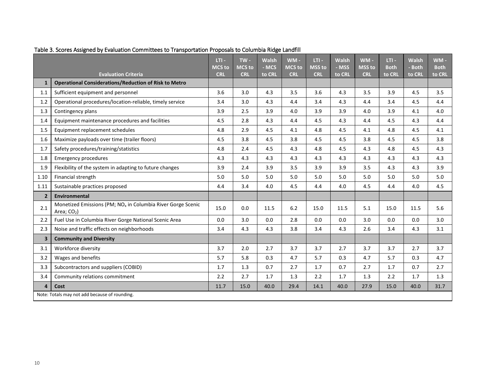<span id="page-13-0"></span>

|                         |                                                                                          | $LTI -$<br><b>MCS to</b> | $TW -$<br><b>MCS to</b> | <b>Walsh</b><br>- MCS | $WM -$<br><b>MCS to</b> | $LTI -$<br><b>MSS to</b> | <b>Walsh</b><br>- MSS | $WM -$<br><b>MSS to</b> | $LTI -$<br><b>Both</b> | <b>Walsh</b><br>- Both | $WM -$<br><b>Both</b> |
|-------------------------|------------------------------------------------------------------------------------------|--------------------------|-------------------------|-----------------------|-------------------------|--------------------------|-----------------------|-------------------------|------------------------|------------------------|-----------------------|
|                         | <b>Evaluation Criteria</b>                                                               | <b>CRL</b>               | <b>CRL</b>              | to CRL                | <b>CRL</b>              | <b>CRL</b>               | to CRL                | <b>CRL</b>              | to CRL                 | to CRL                 | to CRL                |
| $\mathbf{1}$            | <b>Operational Considerations/Reduction of Risk to Metro</b>                             |                          |                         |                       |                         |                          |                       |                         |                        |                        |                       |
| 1.1                     | Sufficient equipment and personnel                                                       | 3.6                      | 3.0                     | 4.3                   | 3.5                     | 3.6                      | 4.3                   | 3.5                     | 3.9                    | 4.5                    | 3.5                   |
| 1.2                     | Operational procedures/location-reliable, timely service                                 | 3.4                      | 3.0                     | 4.3                   | 4.4                     | 3.4                      | 4.3                   | 4.4                     | 3.4                    | 4.5                    | 4.4                   |
| 1.3                     | Contingency plans                                                                        | 3.9                      | 2.5                     | 3.9                   | 4.0                     | 3.9                      | 3.9                   | 4.0                     | 3.9                    | 4.1                    | 4.0                   |
| 1.4                     | Equipment maintenance procedures and facilities                                          | 4.5                      | 2.8                     | 4.3                   | 4.4                     | 4.5                      | 4.3                   | 4.4                     | 4.5                    | 4.3                    | 4.4                   |
| 1.5                     | Equipment replacement schedules                                                          | 4.8                      | 2.9                     | 4.5                   | 4.1                     | 4.8                      | 4.5                   | 4.1                     | 4.8                    | 4.5                    | 4.1                   |
| 1.6                     | Maximize payloads over time (trailer floors)                                             | 4.5                      | 3.8                     | 4.5                   | 3.8                     | 4.5                      | 4.5                   | 3.8                     | 4.5                    | 4.5                    | 3.8                   |
| 1.7                     | Safety procedures/training/statistics                                                    | 4.8                      | 2.4                     | 4.5                   | 4.3                     | 4.8                      | 4.5                   | 4.3                     | 4.8                    | 4.5                    | 4.3                   |
| 1.8                     | <b>Emergency procedures</b>                                                              | 4.3                      | 4.3                     | 4.3                   | 4.3                     | 4.3                      | 4.3                   | 4.3                     | 4.3                    | 4.3                    | 4.3                   |
| 1.9                     | Flexibility of the system in adapting to future changes                                  | 3.9                      | 2.4                     | 3.9                   | 3.5                     | 3.9                      | 3.9                   | 3.5                     | 4.3                    | 4.3                    | 3.9                   |
| 1.10                    | Financial strength                                                                       | 5.0                      | 5.0                     | 5.0                   | 5.0                     | 5.0                      | 5.0                   | 5.0                     | 5.0                    | 5.0                    | 5.0                   |
| 1.11                    | Sustainable practices proposed                                                           | 4.4                      | 3.4                     | 4.0                   | 4.5                     | 4.4                      | 4.0                   | 4.5                     | 4.4                    | 4.0                    | 4.5                   |
| $\overline{2}$          | Environmental                                                                            |                          |                         |                       |                         |                          |                       |                         |                        |                        |                       |
| 2.1                     | Monetized Emissions (PM; NO <sub>x</sub> in Columbia River Gorge Scenic<br>Area; $CO2$ ) | 15.0                     | 0.0                     | 11.5                  | 6.2                     | 15.0                     | 11.5                  | 5.1                     | 15.0                   | 11.5                   | 5.6                   |
| 2.2                     | Fuel Use in Columbia River Gorge National Scenic Area                                    | 0.0                      | 3.0                     | 0.0                   | 2.8                     | 0.0                      | 0.0                   | 3.0                     | 0.0                    | 0.0                    | 3.0                   |
| 2.3                     | Noise and traffic effects on neighborhoods                                               | 3.4                      | 4.3                     | 4.3                   | 3.8                     | 3.4                      | 4.3                   | 2.6                     | 3.4                    | 4.3                    | 3.1                   |
| $\overline{\mathbf{3}}$ | <b>Community and Diversity</b>                                                           |                          |                         |                       |                         |                          |                       |                         |                        |                        |                       |
| 3.1                     | Workforce diversity                                                                      | 3.7                      | 2.0                     | 2.7                   | 3.7                     | 3.7                      | 2.7                   | 3.7                     | 3.7                    | 2.7                    | 3.7                   |
| 3.2                     | Wages and benefits                                                                       | 5.7                      | 5.8                     | 0.3                   | 4.7                     | 5.7                      | 0.3                   | 4.7                     | 5.7                    | 0.3                    | 4.7                   |
| 3.3                     | Subcontractors and suppliers (COBID)                                                     | 1.7                      | 1.3                     | 0.7                   | 2.7                     | 1.7                      | 0.7                   | 2.7                     | 1.7                    | 0.7                    | 2.7                   |
| 3.4                     | Community relations commitment                                                           | 2.2                      | 2.7                     | 1.7                   | 1.3                     | 2.2                      | 1.7                   | 1.3                     | 2.2                    | 1.7                    | 1.3                   |
| $\overline{\mathbf{4}}$ | Cost                                                                                     | 11.7                     | 15.0                    | 40.0                  | 29.4                    | 14.1                     | 40.0                  | 27.9                    | 15.0                   | 40.0                   | 31.7                  |
|                         | Note: Totals may not add because of rounding.                                            |                          |                         |                       |                         |                          |                       |                         |                        |                        |                       |

Table 3. Scores Assigned by Evaluation Committees to Transportation Proposals to Columbia Ridge Landfill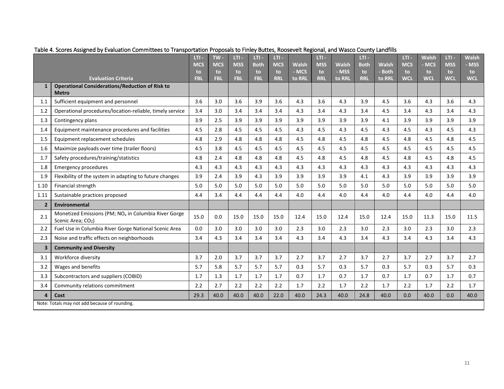<span id="page-14-0"></span>

|                         |                                                                                                    | $LT1 -$<br><b>MCS</b> | $TW -$<br><b>MCS</b> | $LT1 -$<br><b>MSS</b> | LTI-<br><b>Both</b> | $LT1 -$<br><b>MCS</b> | <b>Walsh</b> | LTI-<br><b>MSS</b> | <b>Walsh</b> | $LT1 -$<br><b>Both</b> | <b>Walsh</b> | LT<br><b>MCS</b> | <b>Walsh</b><br>- MCS | LT<br><b>MSS</b> | <b>Walsh</b><br>- MSS |
|-------------------------|----------------------------------------------------------------------------------------------------|-----------------------|----------------------|-----------------------|---------------------|-----------------------|--------------|--------------------|--------------|------------------------|--------------|------------------|-----------------------|------------------|-----------------------|
|                         |                                                                                                    | to                    | to                   | to.                   | to                  | to.                   | - MCS        | to                 | - MSS        | to.                    | - Both       | to.              | to.                   | to.              | to.                   |
|                         | <b>Evaluation Criteria</b>                                                                         | <b>FBL</b>            | <b>FBL</b>           | <b>FBL</b>            | <b>FBL</b>          | <b>RRL</b>            | to RRL       | <b>RRL</b>         | to RRL       | <b>RRL</b>             | to RRL       | <b>WCL</b>       | <b>WCL</b>            | <b>WCI</b>       | <b>WCL</b>            |
| $\mathbf{1}$            | <b>Operational Considerations/Reduction of Risk to</b><br><b>Metro</b>                             |                       |                      |                       |                     |                       |              |                    |              |                        |              |                  |                       |                  |                       |
| 1.1                     | Sufficient equipment and personnel                                                                 | 3.6                   | 3.0                  | 3.6                   | 3.9                 | 3.6                   | 4.3          | 3.6                | 4.3          | 3.9                    | 4.5          | 3.6              | 4.3                   | 3.6              | 4.3                   |
| 1.2                     | Operational procedures/location-reliable, timely service                                           | 3.4                   | 3.0                  | 3.4                   | 3.4                 | 3.4                   | 4.3          | 3.4                | 4.3          | 3.4                    | 4.5          | 3.4              | 4.3                   | 3.4              | 4.3                   |
| 1.3                     | Contingency plans                                                                                  | 3.9                   | 2.5                  | 3.9                   | 3.9                 | 3.9                   | 3.9          | 3.9                | 3.9          | 3.9                    | 4.1          | 3.9              | 3.9                   | 3.9              | 3.9                   |
| 1.4                     | Equipment maintenance procedures and facilities                                                    | 4.5                   | 2.8                  | 4.5                   | 4.5                 | 4.5                   | 4.3          | 4.5                | 4.3          | 4.5                    | 4.3          | 4.5              | 4.3                   | 4.5              | 4.3                   |
| 1.5                     | Equipment replacement schedules                                                                    | 4.8                   | 2.9                  | 4.8                   | 4.8                 | 4.8                   | 4.5          | 4.8                | 4.5          | 4.8                    | 4.5          | 4.8              | 4.5                   | 4.8              | 4.5                   |
| 1.6                     | Maximize payloads over time (trailer floors)                                                       | 4.5                   | 3.8                  | 4.5                   | 4.5                 | 4.5                   | 4.5          | 4.5                | 4.5          | 4.5                    | 4.5          | 4.5              | 4.5                   | 4.5              | 4.5                   |
| 1.7                     | Safety procedures/training/statistics                                                              | 4.8                   | 2.4                  | 4.8                   | 4.8                 | 4.8                   | 4.5          | 4.8                | 4.5          | 4.8                    | 4.5          | 4.8              | 4.5                   | 4.8              | 4.5                   |
| 1.8                     | <b>Emergency procedures</b>                                                                        | 4.3                   | 4.3                  | 4.3                   | 4.3                 | 4.3                   | 4.3          | 4.3                | 4.3          | 4.3                    | 4.3          | 4.3              | 4.3                   | 4.3              | 4.3                   |
| 1.9                     | Flexibility of the system in adapting to future changes                                            | 3.9                   | 2.4                  | 3.9                   | 4.3                 | 3.9                   | 3.9          | 3.9                | 3.9          | 4.1                    | 4.3          | 3.9              | 3.9                   | 3.9              | 3.9                   |
| 1.10                    | Financial strength                                                                                 | 5.0                   | 5.0                  | 5.0                   | 5.0                 | 5.0                   | 5.0          | 5.0                | 5.0          | 5.0                    | 5.0          | 5.0              | 5.0                   | 5.0              | 5.0                   |
| 1.11                    | Sustainable practices proposed                                                                     | 4.4                   | 3.4                  | 4.4                   | 4.4                 | 4.4                   | 4.0          | 4.4                | 4.0          | 4.4                    | 4.0          | 4.4              | 4.0                   | 4.4              | 4.0                   |
| $\overline{2}$          | <b>Environmental</b>                                                                               |                       |                      |                       |                     |                       |              |                    |              |                        |              |                  |                       |                  |                       |
| 2.1                     | Monetized Emissions (PM; NO <sub>x</sub> in Columbia River Gorge<br>Scenic Area; CO <sub>2</sub> ) | 15.0                  | 0.0                  | 15.0                  | 15.0                | 15.0                  | 12.4         | 15.0               | 12.4         | 15.0                   | 12.4         | 15.0             | 11.3                  | 15.0             | 11.5                  |
| 2.2                     | Fuel Use in Columbia River Gorge National Scenic Area                                              | 0.0                   | 3.0                  | 3.0                   | 3.0                 | 3.0                   | 2.3          | 3.0                | 2.3          | 3.0                    | 2.3          | 3.0              | 2.3                   | 3.0              | 2.3                   |
| 2.3                     | Noise and traffic effects on neighborhoods                                                         | 3.4                   | 4.3                  | 3.4                   | 3.4                 | 3.4                   | 4.3          | 3.4                | 4.3          | 3.4                    | 4.3          | 3.4              | 4.3                   | 3.4              | 4.3                   |
| $\overline{\mathbf{3}}$ | <b>Community and Diversity</b>                                                                     |                       |                      |                       |                     |                       |              |                    |              |                        |              |                  |                       |                  |                       |
| 3.1                     | Workforce diversity                                                                                | 3.7                   | 2.0                  | 3.7                   | 3.7                 | 3.7                   | 2.7          | 3.7                | 2.7          | 3.7                    | 2.7          | 3.7              | 2.7                   | 3.7              | 2.7                   |
| 3.2                     | Wages and benefits                                                                                 | 5.7                   | 5.8                  | 5.7                   | 5.7                 | 5.7                   | 0.3          | 5.7                | 0.3          | 5.7                    | 0.3          | 5.7              | 0.3                   | 5.7              | 0.3                   |
| 3.3                     | Subcontractors and suppliers (COBID)                                                               | 1.7                   | 1.3                  | 1.7                   | 1.7                 | 1.7                   | 0.7          | 1.7                | 0.7          | 1.7                    | 0.7          | 1.7              | 0.7                   | 1.7              | 0.7                   |
| 3.4                     | Community relations commitment                                                                     | 2.2                   | 2.7                  | 2.2                   | 2.2                 | 2.2                   | 1.7          | 2.2                | 1.7          | 2.2                    | 1.7          | 2.2              | 1.7                   | 2.2              | 1.7                   |
| 4                       | Cost                                                                                               | 29.3                  | 40.0                 | 40.0                  | 40.0                | 22.0                  | 40.0         | 24.3               | 40.0         | 24.8                   | 40.0         | 0.0              | 40.0                  | 0.0              | 40.0                  |
|                         | Note: Totals may not add because of rounding.                                                      |                       |                      |                       |                     |                       |              |                    |              |                        |              |                  |                       |                  |                       |

### Table 4. Scores Assigned by Evaluation Committees to Transportation Proposals to Finley Buttes, Roosevelt Regional, and Wasco County Landfills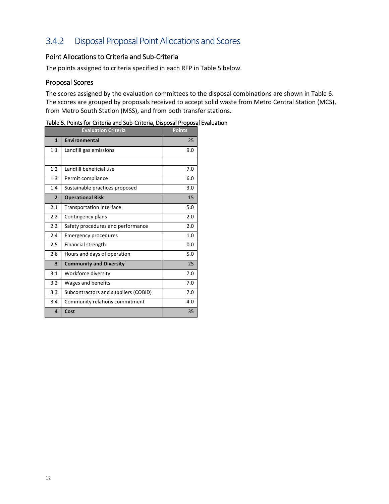## <span id="page-15-0"></span>3.4.2 Disposal Proposal Point Allocations and Scores

### Point Allocations to Criteria and Sub-Criteria

The points assigned to criteria specified in each RFP in Table 5 below.

### Proposal Scores

The scores assigned by the evaluation committees to the disposal combinations are shown in Table 6. The scores are grouped by proposals received to accept solid waste from Metro Central Station (MCS), from Metro South Station (MSS), and from both transfer stations.

|                | <b>Evaluation Criteria</b>           | <b>Points</b> |
|----------------|--------------------------------------|---------------|
| $\mathbf{1}$   | Environmental                        | 25            |
| 1.1            | Landfill gas emissions               | 9.0           |
|                |                                      |               |
| 1.2            | Landfill beneficial use              | 7.0           |
| 1.3            | Permit compliance                    | 6.0           |
| 1.4            | Sustainable practices proposed       | 3.0           |
| $\overline{2}$ | <b>Operational Risk</b>              | 15            |
| 2.1            | Transportation interface             | 5.0           |
| 2.2            | Contingency plans                    | 2.0           |
| 2.3            | Safety procedures and performance    | 2.0           |
| 2.4            | <b>Emergency procedures</b>          | 1.0           |
| 2.5            | Financial strength                   | 0.0           |
| 2.6            | Hours and days of operation          | 5.0           |
| 3              | <b>Community and Diversity</b>       | 25            |
| 3.1            | Workforce diversity                  | 7.0           |
| 3.2            | Wages and benefits                   | 7.0           |
| 3.3            | Subcontractors and suppliers (COBID) | 7.0           |
| 3.4            | Community relations commitment       | 4.0           |
| 4              | Cost                                 | 35            |

<span id="page-15-1"></span>Table 5. Points for Criteria and Sub-Criteria, Disposal Proposal Evaluation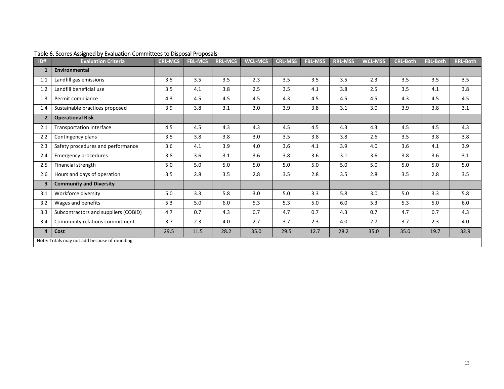<span id="page-16-0"></span>

| ID#                     | <b>Evaluation Criteria</b>                    | <b>CRL-MCS</b> | <b>FBL-MCS</b> | <b>RRL-MCS</b> | <b>WCL-MCS</b> | <b>CRL-MSS</b> | <b>FBL-MSS</b> | <b>RRL-MSS</b> | <b>WCL-MSS</b> | <b>CRL-Both</b> | <b>FBL-Both</b> | <b>RRL-Both</b> |
|-------------------------|-----------------------------------------------|----------------|----------------|----------------|----------------|----------------|----------------|----------------|----------------|-----------------|-----------------|-----------------|
| 1                       | <b>Environmental</b>                          |                |                |                |                |                |                |                |                |                 |                 |                 |
| 1.1                     | Landfill gas emissions                        | 3.5            | 3.5            | 3.5            | 2.3            | 3.5            | 3.5            | 3.5            | 2.3            | 3.5             | 3.5             | 3.5             |
| 1.2                     | Landfill beneficial use                       | 3.5            | 4.1            | 3.8            | 2.5            | 3.5            | 4.1            | 3.8            | 2.5            | 3.5             | 4.1             | 3.8             |
| 1.3                     | Permit compliance                             | 4.3            | 4.5            | 4.5            | 4.5            | 4.3            | 4.5            | 4.5            | 4.5            | 4.3             | 4.5             | 4.5             |
| 1.4                     | Sustainable practices proposed                | 3.9            | 3.8            | 3.1            | 3.0            | 3.9            | 3.8            | 3.1            | 3.0            | 3.9             | 3.8             | 3.1             |
| $\overline{2}$          | <b>Operational Risk</b>                       |                |                |                |                |                |                |                |                |                 |                 |                 |
| 2.1                     | Transportation interface                      | 4.5            | 4.5            | 4.3            | 4.3            | 4.5            | 4.5            | 4.3            | 4.3            | 4.5             | 4.5             | 4.3             |
| 2.2                     | Contingency plans                             | 3.5            | 3.8            | 3.8            | 3.0            | 3.5            | 3.8            | 3.8            | 2.6            | 3.5             | 3.8             | 3.8             |
| 2.3                     | Safety procedures and performance             | 3.6            | 4.1            | 3.9            | 4.0            | 3.6            | 4.1            | 3.9            | 4.0            | 3.6             | 4.1             | 3.9             |
| 2.4                     | <b>Emergency procedures</b>                   | 3.8            | 3.6            | 3.1            | 3.6            | 3.8            | 3.6            | 3.1            | 3.6            | 3.8             | 3.6             | 3.1             |
| 2.5                     | Financial strength                            | 5.0            | 5.0            | 5.0            | 5.0            | 5.0            | 5.0            | 5.0            | 5.0            | 5.0             | 5.0             | 5.0             |
| 2.6                     | Hours and days of operation                   | 3.5            | 2.8            | 3.5            | 2.8            | 3.5            | 2.8            | 3.5            | 2.8            | 3.5             | 2.8             | 3.5             |
| $\overline{\mathbf{3}}$ | <b>Community and Diversity</b>                |                |                |                |                |                |                |                |                |                 |                 |                 |
| 3.1                     | Workforce diversity                           | 5.0            | 3.3            | 5.8            | 3.0            | 5.0            | 3.3            | 5.8            | 3.0            | 5.0             | 3.3             | 5.8             |
| 3.2                     | Wages and benefits                            | 5.3            | 5.0            | 6.0            | 5.3            | 5.3            | 5.0            | 6.0            | 5.3            | 5.3             | 5.0             | 6.0             |
| 3.3                     | Subcontractors and suppliers (COBID)          | 4.7            | 0.7            | 4.3            | 0.7            | 4.7            | 0.7            | 4.3            | 0.7            | 4.7             | 0.7             | 4.3             |
| 3.4                     | Community relations commitment                | 3.7            | 2.3            | 4.0            | 2.7            | 3.7            | 2.3            | 4.0            | 2.7            | 3.7             | 2.3             | 4.0             |
| $\overline{4}$          | Cost                                          | 29.5           | 11.5           | 28.2           | 35.0           | 29.5           | 12.7           | 28.2           | 35.0           | 35.0            | 19.7            | 32.9            |
|                         | Note: Totals may not add because of rounding. |                |                |                |                |                |                |                |                |                 |                 |                 |

### Table 6. Scores Assigned by Evaluation Committees to Disposal Proposals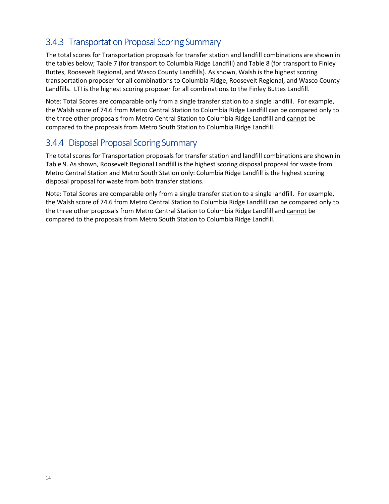## <span id="page-17-0"></span>3.4.3 Transportation Proposal Scoring Summary

The total scores for Transportation proposals for transfer station and landfill combinations are shown in the tables below; Table 7 (for transport to Columbia Ridge Landfill) and Table 8 (for transport to Finley Buttes, Roosevelt Regional, and Wasco County Landfills). As shown, Walsh is the highest scoring transportation proposer for all combinations to Columbia Ridge, Roosevelt Regional, and Wasco County Landfills. LTI is the highest scoring proposer for all combinations to the Finley Buttes Landfill.

Note: Total Scores are comparable only from a single transfer station to a single landfill. For example, the Walsh score of 74.6 from Metro Central Station to Columbia Ridge Landfill can be compared only to the three other proposals from Metro Central Station to Columbia Ridge Landfill and cannot be compared to the proposals from Metro South Station to Columbia Ridge Landfill.

### <span id="page-17-1"></span>3.4.4 Disposal Proposal Scoring Summary

The total scores for Transportation proposals for transfer station and landfill combinations are shown in Table 9. As shown, Roosevelt Regional Landfill is the highest scoring disposal proposal for waste from Metro Central Station and Metro South Station only: Columbia Ridge Landfill is the highest scoring disposal proposal for waste from both transfer stations.

Note: Total Scores are comparable only from a single transfer station to a single landfill. For example, the Walsh score of 74.6 from Metro Central Station to Columbia Ridge Landfill can be compared only to the three other proposals from Metro Central Station to Columbia Ridge Landfill and cannot be compared to the proposals from Metro South Station to Columbia Ridge Landfill.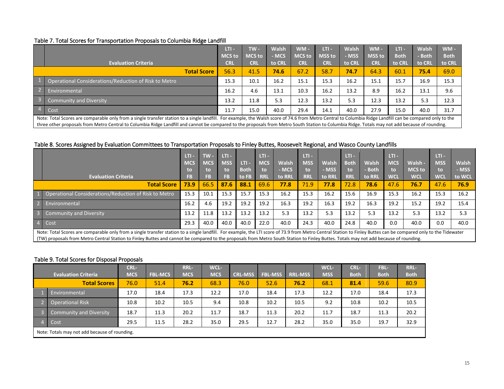#### Table 7. Total Scores for Transportation Proposals to Columbia Ridge Landfill

|                        |                                                                                                                                                                                                                                                                                                                                                                                                               | LTI -         | $TW -$        | <b>Walsh</b> | $WM -$        | LTI -         | <b>Walsh</b> | $WM -$        | $LTI -$     | <b>Walsh</b> | $WM -$      |
|------------------------|---------------------------------------------------------------------------------------------------------------------------------------------------------------------------------------------------------------------------------------------------------------------------------------------------------------------------------------------------------------------------------------------------------------|---------------|---------------|--------------|---------------|---------------|--------------|---------------|-------------|--------------|-------------|
|                        |                                                                                                                                                                                                                                                                                                                                                                                                               | <b>MCS</b> to | <b>MCS</b> to | <b>MCS</b>   | <b>MCS</b> to | <b>MSS to</b> | - MSS        | <b>MSS to</b> | <b>Both</b> | - Both       | <b>Both</b> |
|                        | <b>Evaluation Criteria</b>                                                                                                                                                                                                                                                                                                                                                                                    | <b>CRL</b>    | <b>CRL</b>    | to CRL       | <b>CRL</b>    | <b>CRL</b>    | to CRL       | <b>CRL</b>    | to CRL      | to CRL       | to CRL      |
| <b>Total Score</b>     |                                                                                                                                                                                                                                                                                                                                                                                                               | 56.3          | 41.5          | 74.6         | 67.2          | 58.7          | 74.7         | 64.3          | 60.1        | 75.4         | 69.0        |
|                        | Operational Considerations/Reduction of Risk to Metro                                                                                                                                                                                                                                                                                                                                                         | 15.3          | 10.1          | 16.2         | 15.1          | 15.3          | 16.2         | 15.1          | 15.7        | 16.9         | 15.3        |
| $\overline{2}$         | Environmental                                                                                                                                                                                                                                                                                                                                                                                                 | 16.2          | 4.6           | 13.1         | 10.3          | 16.2          | 13.2         | 8.9           | 16.2        | 13.1         | 9.6         |
| $\left  \cdot \right $ | <b>Community and Diversity</b>                                                                                                                                                                                                                                                                                                                                                                                | 13.2          | 11.8          | 5.3          | 12.3          | 13.2          | 5.3          | 12.3          | 13.2        | 5.3          | 12.3        |
| $\overline{4}$         | Cost                                                                                                                                                                                                                                                                                                                                                                                                          | 11.7          | 15.0          | 40.0         | 29.4          | 14.1          | 40.0         | 27.9          | 15.0        | 40.0         | 31.7        |
|                        | Note: Total Scores are comparable only from a single transfer station to a single landfill. For example, the Walsh score of 74.6 from Metro Central to Columbia Ridge Landfill can be compared only to the<br>three other proposals from Metro Central to Columbia Ridge Landfill and cannot be compared to the proposals from Metro South Station to Columbia Ridge. Totals may not add because of rounding. |               |               |              |               |               |              |               |             |              |             |

#### Table 8. Scores Assigned by Evaluation Committees to Transportation Proposals to Finley Buttes, Roosevelt Regional, and Wasco County Landfills

<span id="page-18-0"></span>

|                    |                                                                                                                                                                                                                                                                                                                                                                                                           | LTI -      | $TW -$     | LTI -      |             | LTI -      |        | LTI -      |              | LTI - I     |              | LTI -      |               | LTI -      |              |
|--------------------|-----------------------------------------------------------------------------------------------------------------------------------------------------------------------------------------------------------------------------------------------------------------------------------------------------------------------------------------------------------------------------------------------------------|------------|------------|------------|-------------|------------|--------|------------|--------------|-------------|--------------|------------|---------------|------------|--------------|
|                    |                                                                                                                                                                                                                                                                                                                                                                                                           | <b>MCS</b> | <b>MCS</b> | <b>MSS</b> | LTI -       | <b>MCS</b> | Walsh  | <b>MSS</b> | <b>Walsh</b> | <b>Both</b> | <b>Walsh</b> | <b>MCS</b> | Walsh -       | <b>MSS</b> | <b>Walsh</b> |
|                    |                                                                                                                                                                                                                                                                                                                                                                                                           | to         | to         | to         | <b>Both</b> | to         | - MCS  | to         | - MSS        | to          | <b>Both</b>  | to         | <b>MCS</b> to | to         | - MSS        |
|                    | <b>Evaluation Criteria</b>                                                                                                                                                                                                                                                                                                                                                                                | <b>FB</b>  | <b>FB</b>  | FB.        | to FB       | <b>RRL</b> | to RRL | <b>RRL</b> | to RRL       | <b>RRL</b>  | to RRL       | <b>WCL</b> | <b>WCL</b>    | <b>WCL</b> | to WCL       |
| <b>Total Score</b> |                                                                                                                                                                                                                                                                                                                                                                                                           | 73.9       | 66.5       | 87.6       | 88.1        | 69.6       | 77.8   | 71.9       | 77.8         | 72.8        | 78.6         | 47.6       | 76.7          | 47.6       | 76.9         |
|                    | Operational Considerations/Reduction of Risk to Metro                                                                                                                                                                                                                                                                                                                                                     | 15.3       | 10.1       | 15.3       | 15.7        | 15.3       | 16.2   | 15.3       | 16.2         | 15.6        | 16.9         | 15.3       | 16.2          | 15.3       | 16.2         |
|                    | Environmental                                                                                                                                                                                                                                                                                                                                                                                             | 16.2       | 4.6        | 19.2       | 19.2        | 19.2       | 16.3   | 19.2       | 16.3         | 19.2        | 16.3         | 19.2       | 15.2          | 19.2       | 15.4         |
|                    | <b>Community and Diversity</b>                                                                                                                                                                                                                                                                                                                                                                            | 13.2       | 11.8       | 13.2       | 13.2        | 13.2       | 5.3    | 13.2       | 5.3          | 13.2        | 5.3          | 13.2       | 5.3           | 13.2       | 5.3          |
|                    | 4 Cost                                                                                                                                                                                                                                                                                                                                                                                                    |            | 40.0       | 40.0       | 40.0        | 22.0       | 40.0   | 24.3       | 40.0         | 24.8        | 40.0         | 0.0        | 40.0          | 0.0        | 40.0         |
|                    | Note: Total Scores are comparable only from a single transfer station to a single landfill. For example, the LTI score of 73.9 from Metro Central Station to Finley Buttes can be compared only to the Tidewater<br>(TW) proposals from Metro Central Station to Finley Buttes and cannot be compared to the proposals from Metro South Station to Finley Buttes. Totals may not add because of rounding. |            |            |            |             |            |        |            |              |             |              |            |               |            |              |

#### <span id="page-18-1"></span>Table 9. Total Scores for Disposal Proposals

<span id="page-18-2"></span>

|                            |                                               | CRL-       |                | <b>RRL-</b> | WCL-       |                |                |                | WCL-       | <b>CRL-</b> | FBL-        | <b>RRL-</b> |  |
|----------------------------|-----------------------------------------------|------------|----------------|-------------|------------|----------------|----------------|----------------|------------|-------------|-------------|-------------|--|
| <b>Evaluation Criteria</b> |                                               | <b>MCS</b> | <b>FBL-MCS</b> | <b>MCS</b>  | <b>MCS</b> | <b>CRL-MSS</b> | <b>FBL-MSS</b> | <b>RRL-MSS</b> | <b>MSS</b> | <b>Both</b> | <b>Both</b> | <b>Both</b> |  |
|                            | <b>Total Scores</b>                           | 76.0       | 51.4           | 76.2        | 68.3       | 76.0           | 52.6           | 76.2           | 68.1       | 81.4        | 59.6        | 80.9        |  |
|                            | Environmental                                 | 17.0       | 18.4           | 17.3        | 12.2       | 17.0           | 18.4           | 17.3           | 12.2       | 17.0        | 18.4        | 17.3        |  |
|                            | <b>Operational Risk</b>                       | 10.8       | 10.2           | 10.5        | 9.4        | 10.8           | 10.2           | 10.5           | 9.2        | 10.8        | 10.2        | 10.5        |  |
|                            | Community and Diversity                       | 18.7       | 11.3           | 20.2        | 11.7       | 18.7           | 11.3           | 20.2           | 11.7       | 18.7        | 11.3        | 20.2        |  |
|                            | Cost                                          | 29.5       | 11.5           | 28.2        | 35.0       | 29.5           | 12.7           | 28.2           | 35.0       | 35.0        | 19.7        | 32.9        |  |
|                            | Note: Totals may not add because of rounding. |            |                |             |            |                |                |                |            |             |             |             |  |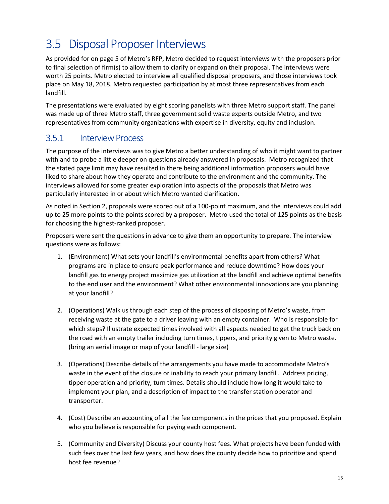# <span id="page-19-0"></span>3.5 Disposal Proposer Interviews

As provided for on page 5 of Metro's RFP, Metro decided to request interviews with the proposers prior to final selection of firm(s) to allow them to clarify or expand on their proposal. The interviews were worth 25 points. Metro elected to interview all qualified disposal proposers, and those interviews took place on May 18, 2018. Metro requested participation by at most three representatives from each landfill.

The presentations were evaluated by eight scoring panelists with three Metro support staff. The panel was made up of three Metro staff, three government solid waste experts outside Metro, and two representatives from community organizations with expertise in diversity, equity and inclusion.

### <span id="page-19-1"></span>3.5.1 Interview Process

The purpose of the interviews was to give Metro a better understanding of who it might want to partner with and to probe a little deeper on questions already answered in proposals. Metro recognized that the stated page limit may have resulted in there being additional information proposers would have liked to share about how they operate and contribute to the environment and the community. The interviews allowed for some greater exploration into aspects of the proposals that Metro was particularly interested in or about which Metro wanted clarification.

As noted in Section 2, proposals were scored out of a 100-point maximum, and the interviews could add up to 25 more points to the points scored by a proposer. Metro used the total of 125 points as the basis for choosing the highest-ranked proposer.

Proposers were sent the questions in advance to give them an opportunity to prepare. The interview questions were as follows:

- 1. (Environment) What sets your landfill's environmental benefits apart from others? What programs are in place to ensure peak performance and reduce downtime? How does your landfill gas to energy project maximize gas utilization at the landfill and achieve optimal benefits to the end user and the environment? What other environmental innovations are you planning at your landfill?
- 2. (Operations) Walk us through each step of the process of disposing of Metro's waste, from receiving waste at the gate to a driver leaving with an empty container. Who is responsible for which steps? Illustrate expected times involved with all aspects needed to get the truck back on the road with an empty trailer including turn times, tippers, and priority given to Metro waste. (bring an aerial image or map of your landfill - large size)
- 3. (Operations) Describe details of the arrangements you have made to accommodate Metro's waste in the event of the closure or inability to reach your primary landfill. Address pricing, tipper operation and priority, turn times. Details should include how long it would take to implement your plan, and a description of impact to the transfer station operator and transporter.
- 4. (Cost) Describe an accounting of all the fee components in the prices that you proposed. Explain who you believe is responsible for paying each component.
- 5. (Community and Diversity) Discuss your county host fees. What projects have been funded with such fees over the last few years, and how does the county decide how to prioritize and spend host fee revenue?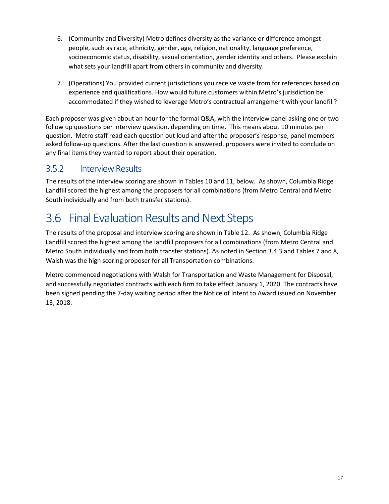- 6. (Community and Diversity) Metro defines diversity as the variance or difference amongst people, such as race, ethnicity, gender, age, religion, nationality, language preference, socioeconomic status, disability, sexual orientation, gender identity and others. Please explain what sets your landfill apart from others in community and diversity.
- 7. (Operations) You provided current jurisdictions you receive waste from for references based on experience and qualifications. How would future customers within Metro's jurisdiction be accommodated if they wished to leverage Metro's contractual arrangement with your landfill?

Each proposer was given about an hour for the formal Q&A, with the interview panel asking one or two follow up questions per interview question, depending on time. This means about 10 minutes per question. Metro staff read each question out loud and after the proposer's response, panel members asked follow-up questions. After the last question is answered, proposers were invited to conclude on any final items they wanted to report about their operation.

### <span id="page-20-0"></span>3.5.2 Interview Results

The results of the interview scoring are shown in Tables 10 and 11, below. As shown, Columbia Ridge Landfill scored the highest among the proposers for all combinations (from Metro Central and Metro South individually and from both transfer stations).

# <span id="page-20-1"></span>3.6 Final Evaluation Results and Next Steps

The results of the proposal and interview scoring are shown in Table 12. As shown, Columbia Ridge Landfill scored the highest among the landfill proposers for all combinations (from Metro Central and Metro South individually and from both transfer stations). As noted in Section 3.4.3 and Tables 7 and 8, Walsh was the high scoring proposer for all Transportation combinations.

Metro commenced negotiations with Walsh for Transportation and Waste Management for Disposal, and successfully negotiated contracts with each firm to take effect January 1, 2020. The contracts have been signed pending the 7-day waiting period after the Notice of Intent to Award issued on November 13, 2018.